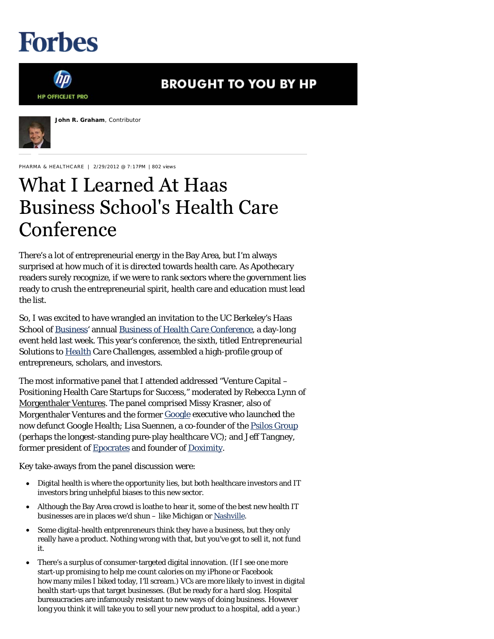## **Forbes**



## **BROUGHT TO YOU BY HP**



**John R. Graham**, Contributor

PHARMA & HEALTHCARE | 2/29/2012 @ 7:17PM | 802 views

## **What I Learned At Haas Business School's Health Care** Conference

There's a lot of entrepreneurial energy in the Bay Area, but I'm always surprised at how much of it is directed towards health care. As *Apothecary* readers surely recognize, if we were to rank sectors where the government lies ready to crush the entrepreneurial spirit, health care and education must lead the list.

So, I was excited to have wrangled an invitation to the UC Berkeley's Haas School of Business' annual *Business of Health Care Conference*, a day-long event held last week. This year's conference, the sixth, titled *Entrepreneurial Solutions to Health Care Challenges*, assembled a high-profile group of entrepreneurs, scholars, and investors.

The most informative panel that I attended addressed "Venture Capital – Positioning Health Care Startups for Success," moderated by Rebecca Lynn of Morgenthaler Ventures. The panel comprised Missy Krasner, also of Morgenthaler Ventures and the former Google executive who launched the now defunct Google Health; Lisa Suennen, a co-founder of the Psilos Group (perhaps the longest-standing pure-play healthcare VC); and Jeff Tangney, former president of Epocrates and founder of Doximity.

Key take-aways from the panel discussion were:

- Digital health is where the opportunity lies, but both healthcare investors and IT investors bring unhelpful biases to this new sector.
- Although the Bay Area crowd is loathe to hear it, some of the best new health IT businesses are in places we'd shun - like Michigan or Nashville.
- Some digital-health entprenreneurs think they have a business, but they only really have a product. Nothing wrong with that, but you've got to sell it, not fund it.
- There's a surplus of consumer-targeted digital innovation. (If I see one more  $\bullet$ start-up promising to help me count calories on my iPhone or Facebook how many miles I biked today, I'll scream.) VCs are more likely to invest in digital health start-ups that target businesses. (But be ready for a hard slog. Hospital bureaucracies are infamously resistant to new ways of doing business. However long you think it will take you to sell your new product to a hospital, add a year.)